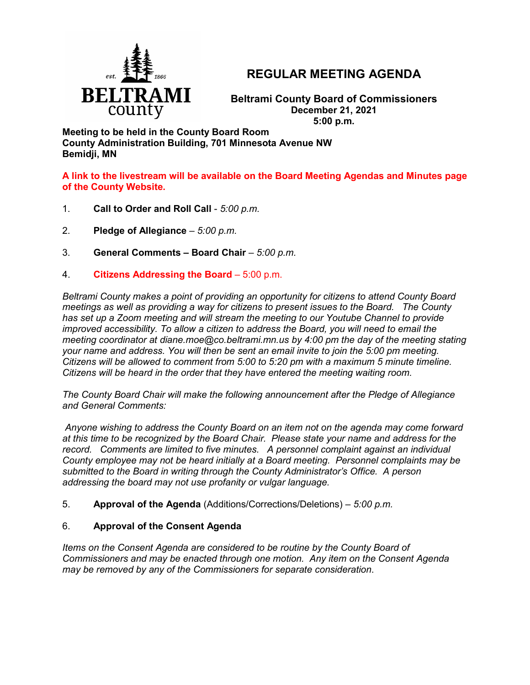

# **REGULAR MEETING AGENDA**

**Beltrami County Board of Commissioners December 21, 2021 5:00 p.m.**

**Meeting to be held in the County Board Room County Administration Building, 701 Minnesota Avenue NW Bemidji, MN**

**A link to the livestream will be available on the Board Meeting Agendas and Minutes page of the County Website.**

- 1. **Call to Order and Roll Call** *5:00 p.m.*
- 2. **Pledge of Allegiance**  *5:00 p.m.*
- 3. **General Comments – Board Chair** *5:00 p.m.*
- 4. **Citizens Addressing the Board**  5:00 p.m.

*Beltrami County makes a point of providing an opportunity for citizens to attend County Board meetings as well as providing a way for citizens to present issues to the Board. The County has set up a Zoom meeting and will stream the meeting to our Youtube Channel to provide improved accessibility. To allow a citizen to address the Board, you will need to email the meeting coordinator at diane.moe@co.beltrami.mn.us by 4:00 pm the day of the meeting stating your name and address. You will then be sent an email invite to join the 5:00 pm meeting. Citizens will be allowed to comment from 5:00 to 5:20 pm with a maximum 5 minute timeline. Citizens will be heard in the order that they have entered the meeting waiting room.* 

*The County Board Chair will make the following announcement after the Pledge of Allegiance and General Comments:*

*Anyone wishing to address the County Board on an item not on the agenda may come forward at this time to be recognized by the Board Chair. Please state your name and address for the record. Comments are limited to five minutes. A personnel complaint against an individual County employee may not be heard initially at a Board meeting. Personnel complaints may be submitted to the Board in writing through the County Administrator's Office. A person addressing the board may not use profanity or vulgar language.*

5. **Approval of the Agenda** (Additions/Corrections/Deletions) – *5:00 p.m.*

# 6. **Approval of the Consent Agenda**

*Items on the Consent Agenda are considered to be routine by the County Board of Commissioners and may be enacted through one motion. Any item on the Consent Agenda may be removed by any of the Commissioners for separate consideration*.